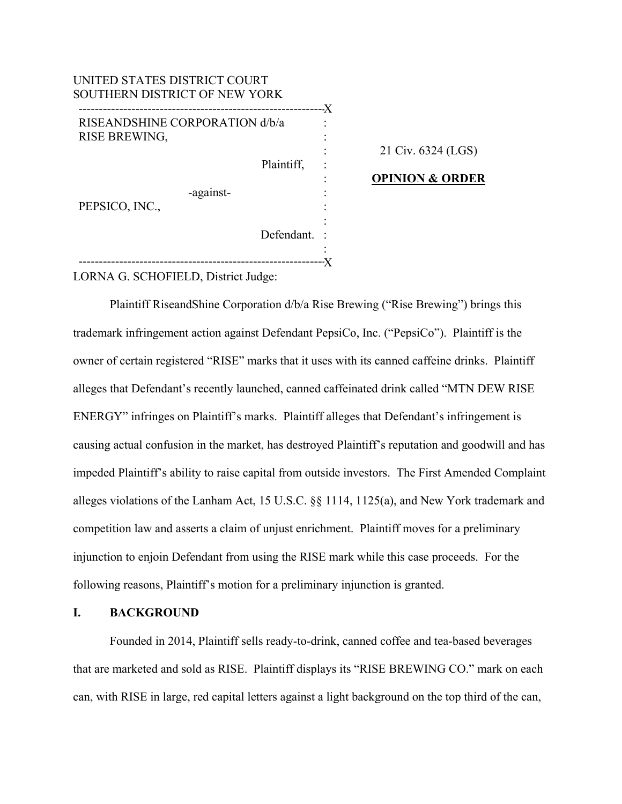| UNITED STATES DISTRICT COURT<br>SOUTHERN DISTRICT OF NEW YORK |    |
|---------------------------------------------------------------|----|
|                                                               | .X |
| RISEANDSHINE CORPORATION d/b/a<br>RISE BREWING,               |    |
|                                                               |    |
| Plaintiff,                                                    |    |
|                                                               |    |
| -against-<br>PEPSICO, INC.,                                   |    |
|                                                               |    |
| Defendant.                                                    |    |
|                                                               |    |
|                                                               |    |

# 21 Civ. 6324 (LGS)

## **OPINION & ORDER**

LORNA G. SCHOFIELD, District Judge:

 Plaintiff RiseandShine Corporation d/b/a Rise Brewing ("Rise Brewing") brings this trademark infringement action against Defendant PepsiCo, Inc. ("PepsiCo"). Plaintiff is the owner of certain registered "RISE" marks that it uses with its canned caffeine drinks. Plaintiff alleges that Defendant's recently launched, canned caffeinated drink called "MTN DEW RISE ENERGY" infringes on Plaintiff's marks. Plaintiff alleges that Defendant's infringement is causing actual confusion in the market, has destroyed Plaintiff's reputation and goodwill and has impeded Plaintiff's ability to raise capital from outside investors. The First Amended Complaint alleges violations of the Lanham Act, 15 U.S.C. §§ 1114, 1125(a), and New York trademark and competition law and asserts a claim of unjust enrichment. Plaintiff moves for a preliminary injunction to enjoin Defendant from using the RISE mark while this case proceeds. For the following reasons, Plaintiff's motion for a preliminary injunction is granted.

## **I. BACKGROUND**

Founded in 2014, Plaintiff sells ready-to-drink, canned coffee and tea-based beverages that are marketed and sold as RISE. Plaintiff displays its "RISE BREWING CO." mark on each can, with RISE in large, red capital letters against a light background on the top third of the can,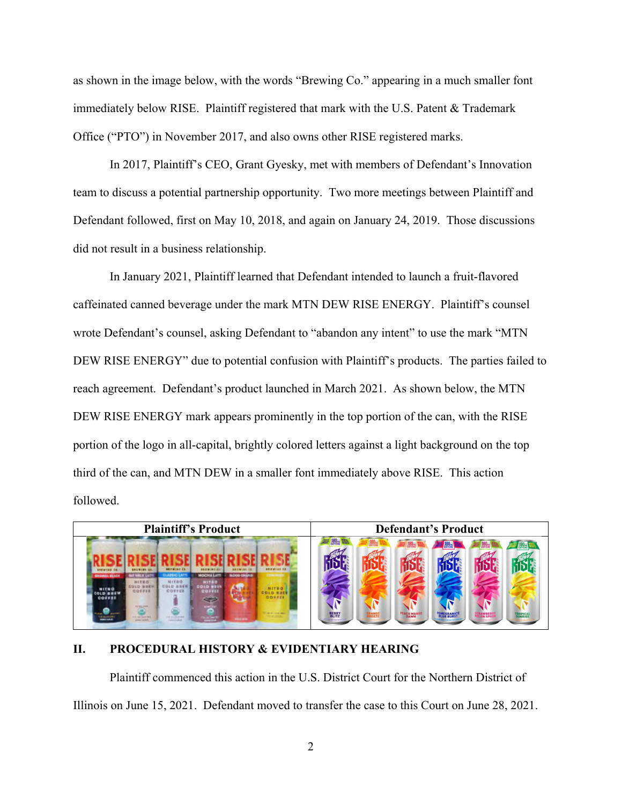as shown in the image below, with the words "Brewing Co." appearing in a much smaller font immediately below RISE. Plaintiff registered that mark with the U.S. Patent & Trademark Office ("PTO") in November 2017, and also owns other RISE registered marks.

In 2017, Plaintiff's CEO, Grant Gyesky, met with members of Defendant's Innovation team to discuss a potential partnership opportunity. Two more meetings between Plaintiff and Defendant followed, first on May 10, 2018, and again on January 24, 2019. Those discussions did not result in a business relationship.

In January 2021, Plaintiff learned that Defendant intended to launch a fruit-flavored caffeinated canned beverage under the mark MTN DEW RISE ENERGY. Plaintiff's counsel wrote Defendant's counsel, asking Defendant to "abandon any intent" to use the mark "MTN DEW RISE ENERGY" due to potential confusion with Plaintiff's products. The parties failed to reach agreement. Defendant's product launched in March 2021. As shown below, the MTN DEW RISE ENERGY mark appears prominently in the top portion of the can, with the RISE portion of the logo in all-capital, brightly colored letters against a light background on the top third of the can, and MTN DEW in a smaller font immediately above RISE. This action followed.



## **II. PROCEDURAL HISTORY & EVIDENTIARY HEARING**

Plaintiff commenced this action in the U.S. District Court for the Northern District of Illinois on June 15, 2021. Defendant moved to transfer the case to this Court on June 28, 2021.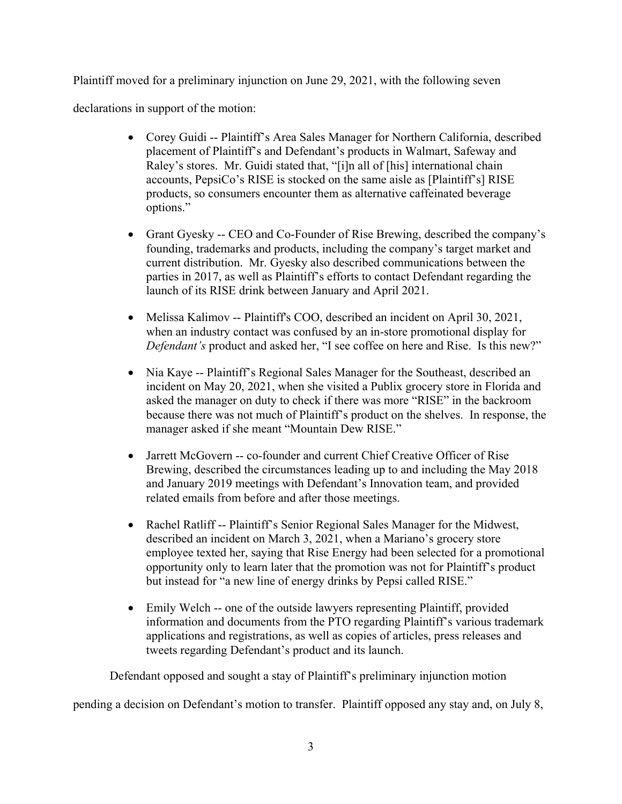Plaintiff moved for a preliminary injunction on June 29, 2021, with the following seven

declarations in support of the motion:

- Corey Guidi -- Plaintiff's Area Sales Manager for Northern California, described placement of Plaintiff's and Defendant's products in Walmart, Safeway and Raley's stores. Mr. Guidi stated that, "[i]n all of [his] international chain accounts, PepsiCo's RISE is stocked on the same aisle as [Plaintiff's] RISE products, so consumers encounter them as alternative caffeinated beverage options."
- Grant Gyesky -- CEO and Co-Founder of Rise Brewing, described the company's founding, trademarks and products, including the company's target market and current distribution. Mr. Gyesky also described communications between the parties in 2017, as well as Plaintiff's efforts to contact Defendant regarding the launch of its RISE drink between January and April 2021.
- Melissa Kalimov -- Plaintiff's COO, described an incident on April 30, 2021, when an industry contact was confused by an in-store promotional display for *Defendant's* product and asked her, "I see coffee on here and Rise. Is this new?"
- Nia Kaye -- Plaintiff's Regional Sales Manager for the Southeast, described an incident on May 20, 2021, when she visited a Publix grocery store in Florida and asked the manager on duty to check if there was more "RISE" in the backroom because there was not much of Plaintiff's product on the shelves. In response, the manager asked if she meant "Mountain Dew RISE."
- Jarrett McGovern -- co-founder and current Chief Creative Officer of Rise Brewing, described the circumstances leading up to and including the May 2018 and January 2019 meetings with Defendant's Innovation team, and provided related emails from before and after those meetings.
- Rachel Ratliff -- Plaintiff's Senior Regional Sales Manager for the Midwest, described an incident on March 3, 2021, when a Mariano's grocery store employee texted her, saying that Rise Energy had been selected for a promotional opportunity only to learn later that the promotion was not for Plaintiff's product but instead for "a new line of energy drinks by Pepsi called RISE."
- Emily Welch -- one of the outside lawyers representing Plaintiff, provided information and documents from the PTO regarding Plaintiff's various trademark applications and registrations, as well as copies of articles, press releases and tweets regarding Defendant's product and its launch.

Defendant opposed and sought a stay of Plaintiff's preliminary injunction motion

pending a decision on Defendant's motion to transfer. Plaintiff opposed any stay and, on July 8,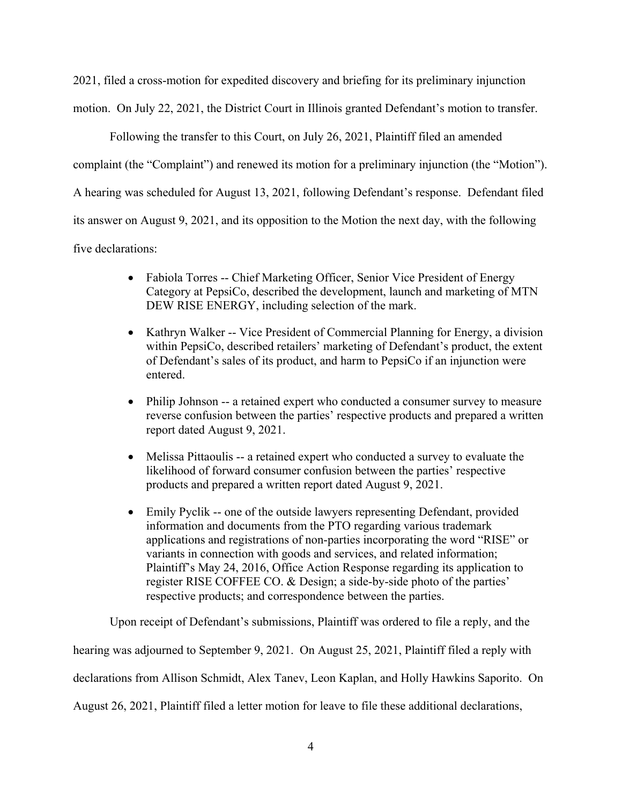2021, filed a cross-motion for expedited discovery and briefing for its preliminary injunction

motion. On July 22, 2021, the District Court in Illinois granted Defendant's motion to transfer.

Following the transfer to this Court, on July 26, 2021, Plaintiff filed an amended

complaint (the "Complaint") and renewed its motion for a preliminary injunction (the "Motion").

A hearing was scheduled for August 13, 2021, following Defendant's response. Defendant filed

its answer on August 9, 2021, and its opposition to the Motion the next day, with the following

five declarations:

- Fabiola Torres -- Chief Marketing Officer, Senior Vice President of Energy Category at PepsiCo, described the development, launch and marketing of MTN DEW RISE ENERGY, including selection of the mark.
- Kathryn Walker -- Vice President of Commercial Planning for Energy, a division within PepsiCo, described retailers' marketing of Defendant's product, the extent of Defendant's sales of its product, and harm to PepsiCo if an injunction were entered.
- Philip Johnson -- a retained expert who conducted a consumer survey to measure reverse confusion between the parties' respective products and prepared a written report dated August 9, 2021.
- Melissa Pittaoulis -- a retained expert who conducted a survey to evaluate the likelihood of forward consumer confusion between the parties' respective products and prepared a written report dated August 9, 2021.
- Emily Pyclik -- one of the outside lawyers representing Defendant, provided information and documents from the PTO regarding various trademark applications and registrations of non-parties incorporating the word "RISE" or variants in connection with goods and services, and related information; Plaintiff's May 24, 2016, Office Action Response regarding its application to register RISE COFFEE CO. & Design; a side-by-side photo of the parties' respective products; and correspondence between the parties.

Upon receipt of Defendant's submissions, Plaintiff was ordered to file a reply, and the hearing was adjourned to September 9, 2021. On August 25, 2021, Plaintiff filed a reply with declarations from Allison Schmidt, Alex Tanev, Leon Kaplan, and Holly Hawkins Saporito. On August 26, 2021, Plaintiff filed a letter motion for leave to file these additional declarations,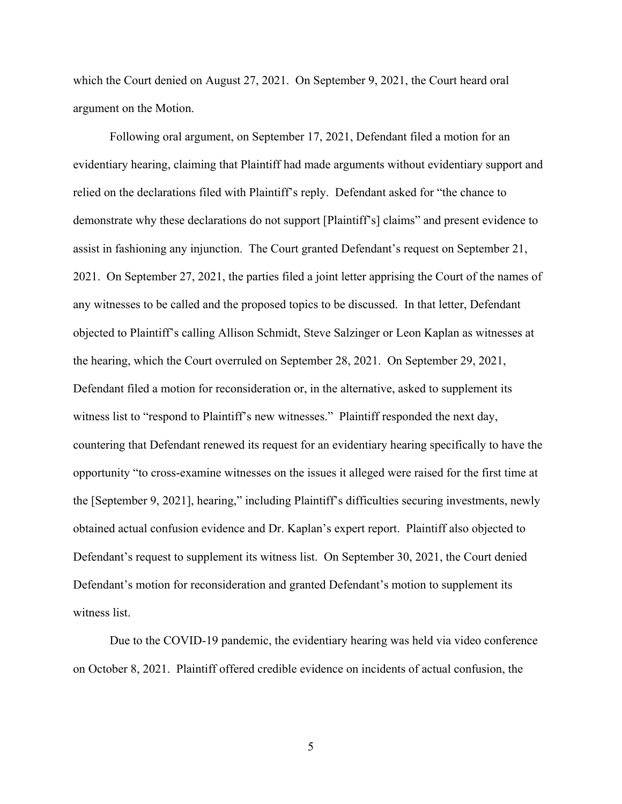which the Court denied on August 27, 2021. On September 9, 2021, the Court heard oral argument on the Motion.

Following oral argument, on September 17, 2021, Defendant filed a motion for an evidentiary hearing, claiming that Plaintiff had made arguments without evidentiary support and relied on the declarations filed with Plaintiff's reply. Defendant asked for "the chance to demonstrate why these declarations do not support [Plaintiff's] claims" and present evidence to assist in fashioning any injunction. The Court granted Defendant's request on September 21, 2021. On September 27, 2021, the parties filed a joint letter apprising the Court of the names of any witnesses to be called and the proposed topics to be discussed. In that letter, Defendant objected to Plaintiff's calling Allison Schmidt, Steve Salzinger or Leon Kaplan as witnesses at the hearing, which the Court overruled on September 28, 2021. On September 29, 2021, Defendant filed a motion for reconsideration or, in the alternative, asked to supplement its witness list to "respond to Plaintiff's new witnesses." Plaintiff responded the next day, countering that Defendant renewed its request for an evidentiary hearing specifically to have the opportunity "to cross-examine witnesses on the issues it alleged were raised for the first time at the [September 9, 2021], hearing," including Plaintiff's difficulties securing investments, newly obtained actual confusion evidence and Dr. Kaplan's expert report. Plaintiff also objected to Defendant's request to supplement its witness list. On September 30, 2021, the Court denied Defendant's motion for reconsideration and granted Defendant's motion to supplement its witness list.

Due to the COVID-19 pandemic, the evidentiary hearing was held via video conference on October 8, 2021. Plaintiff offered credible evidence on incidents of actual confusion, the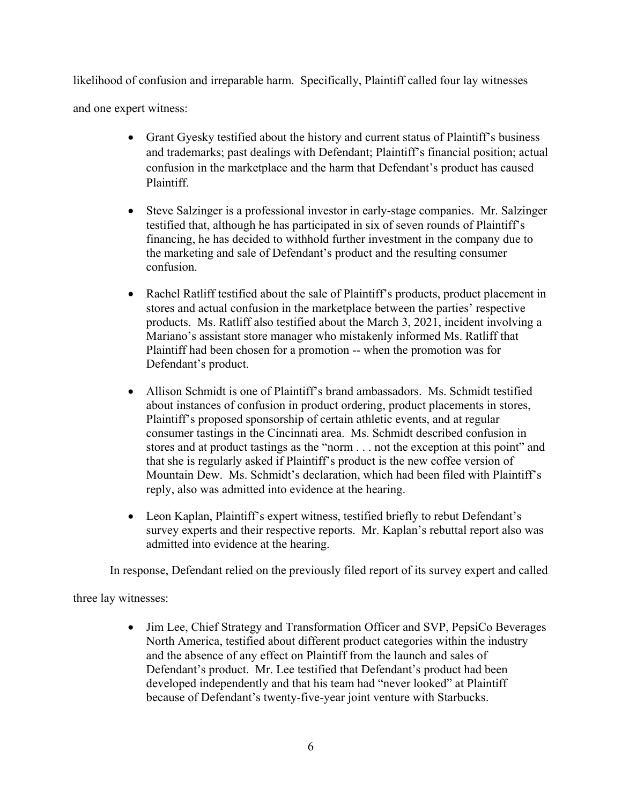likelihood of confusion and irreparable harm. Specifically, Plaintiff called four lay witnesses

and one expert witness:

- Grant Gyesky testified about the history and current status of Plaintiff's business and trademarks; past dealings with Defendant; Plaintiff's financial position; actual confusion in the marketplace and the harm that Defendant's product has caused Plaintiff.
- Steve Salzinger is a professional investor in early-stage companies. Mr. Salzinger testified that, although he has participated in six of seven rounds of Plaintiff's financing, he has decided to withhold further investment in the company due to the marketing and sale of Defendant's product and the resulting consumer confusion.
- Rachel Ratliff testified about the sale of Plaintiff's products, product placement in stores and actual confusion in the marketplace between the parties' respective products. Ms. Ratliff also testified about the March 3, 2021, incident involving a Mariano's assistant store manager who mistakenly informed Ms. Ratliff that Plaintiff had been chosen for a promotion -- when the promotion was for Defendant's product.
- Allison Schmidt is one of Plaintiff's brand ambassadors. Ms. Schmidt testified about instances of confusion in product ordering, product placements in stores, Plaintiff's proposed sponsorship of certain athletic events, and at regular consumer tastings in the Cincinnati area. Ms. Schmidt described confusion in stores and at product tastings as the "norm . . . not the exception at this point" and that she is regularly asked if Plaintiff's product is the new coffee version of Mountain Dew. Ms. Schmidt's declaration, which had been filed with Plaintiff's reply, also was admitted into evidence at the hearing.
- Leon Kaplan, Plaintiff's expert witness, testified briefly to rebut Defendant's survey experts and their respective reports. Mr. Kaplan's rebuttal report also was admitted into evidence at the hearing.

In response, Defendant relied on the previously filed report of its survey expert and called

three lay witnesses:

• Jim Lee, Chief Strategy and Transformation Officer and SVP, PepsiCo Beverages North America, testified about different product categories within the industry and the absence of any effect on Plaintiff from the launch and sales of Defendant's product. Mr. Lee testified that Defendant's product had been developed independently and that his team had "never looked" at Plaintiff because of Defendant's twenty-five-year joint venture with Starbucks.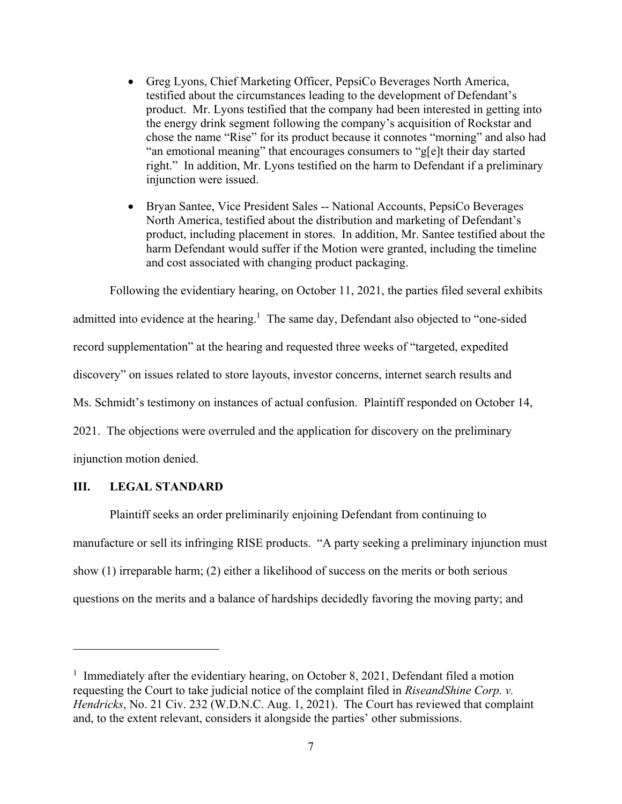- Greg Lyons, Chief Marketing Officer, PepsiCo Beverages North America, testified about the circumstances leading to the development of Defendant's product. Mr. Lyons testified that the company had been interested in getting into the energy drink segment following the company's acquisition of Rockstar and chose the name "Rise" for its product because it connotes "morning" and also had "an emotional meaning" that encourages consumers to "g[e]t their day started right." In addition, Mr. Lyons testified on the harm to Defendant if a preliminary injunction were issued.
- Bryan Santee, Vice President Sales -- National Accounts, PepsiCo Beverages North America, testified about the distribution and marketing of Defendant's product, including placement in stores. In addition, Mr. Santee testified about the harm Defendant would suffer if the Motion were granted, including the timeline and cost associated with changing product packaging.

Following the evidentiary hearing, on October 11, 2021, the parties filed several exhibits admitted into evidence at the hearing.<sup>1</sup> The same day, Defendant also objected to "one-sided record supplementation" at the hearing and requested three weeks of "targeted, expedited discovery" on issues related to store layouts, investor concerns, internet search results and Ms. Schmidt's testimony on instances of actual confusion. Plaintiff responded on October 14, 2021. The objections were overruled and the application for discovery on the preliminary

injunction motion denied.

1

# **III. LEGAL STANDARD**

Plaintiff seeks an order preliminarily enjoining Defendant from continuing to manufacture or sell its infringing RISE products. "A party seeking a preliminary injunction must show (1) irreparable harm; (2) either a likelihood of success on the merits or both serious questions on the merits and a balance of hardships decidedly favoring the moving party; and

<sup>&</sup>lt;sup>1</sup> Immediately after the evidentiary hearing, on October 8, 2021, Defendant filed a motion requesting the Court to take judicial notice of the complaint filed in *RiseandShine Corp. v. Hendricks*, No. 21 Civ. 232 (W.D.N.C. Aug. 1, 2021). The Court has reviewed that complaint and, to the extent relevant, considers it alongside the parties' other submissions.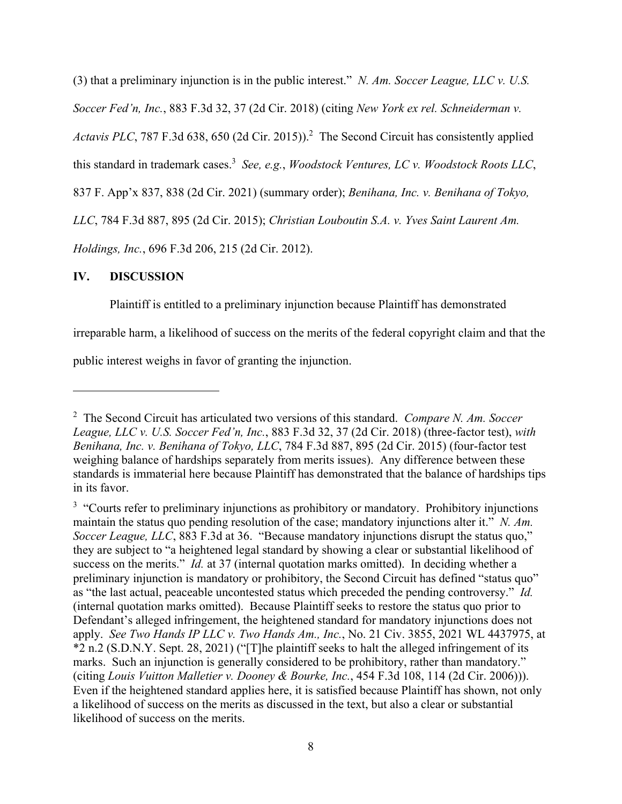(3) that a preliminary injunction is in the public interest." *N. Am. Soccer League, LLC v. U.S. Soccer Fed'n, Inc.*, 883 F.3d 32, 37 (2d Cir. 2018) (citing *New York ex rel. Schneiderman v.*  Actavis PLC, 787 F.3d 638, 650 (2d Cir. 2015)).<sup>2</sup> The Second Circuit has consistently applied this standard in trademark cases.3 *See, e.g.*, *Woodstock Ventures, LC v. Woodstock Roots LLC*, 837 F. App'x 837, 838 (2d Cir. 2021) (summary order); *Benihana, Inc. v. Benihana of Tokyo, LLC*, 784 F.3d 887, 895 (2d Cir. 2015); *Christian Louboutin S.A. v. Yves Saint Laurent Am. Holdings, Inc.*, 696 F.3d 206, 215 (2d Cir. 2012).

# **IV. DISCUSSION**

 $\overline{a}$ 

Plaintiff is entitled to a preliminary injunction because Plaintiff has demonstrated

irreparable harm, a likelihood of success on the merits of the federal copyright claim and that the

public interest weighs in favor of granting the injunction.

<sup>2</sup> The Second Circuit has articulated two versions of this standard. *Compare N. Am. Soccer League, LLC v. U.S. Soccer Fed'n, Inc.*, 883 F.3d 32, 37 (2d Cir. 2018) (three-factor test), *with Benihana, Inc. v. Benihana of Tokyo, LLC*, 784 F.3d 887, 895 (2d Cir. 2015) (four-factor test weighing balance of hardships separately from merits issues). Any difference between these standards is immaterial here because Plaintiff has demonstrated that the balance of hardships tips in its favor.

<sup>&</sup>lt;sup>3</sup> "Courts refer to preliminary injunctions as prohibitory or mandatory. Prohibitory injunctions maintain the status quo pending resolution of the case; mandatory injunctions alter it." *N. Am. Soccer League, LLC*, 883 F.3d at 36. "Because mandatory injunctions disrupt the status quo," they are subject to "a heightened legal standard by showing a clear or substantial likelihood of success on the merits." *Id.* at 37 (internal quotation marks omitted). In deciding whether a preliminary injunction is mandatory or prohibitory, the Second Circuit has defined "status quo" as "the last actual, peaceable uncontested status which preceded the pending controversy." *Id.*  (internal quotation marks omitted). Because Plaintiff seeks to restore the status quo prior to Defendant's alleged infringement, the heightened standard for mandatory injunctions does not apply. *See Two Hands IP LLC v. Two Hands Am., Inc.*, No. 21 Civ. 3855, 2021 WL 4437975, at \*2 n.2 (S.D.N.Y. Sept. 28, 2021) ("[T]he plaintiff seeks to halt the alleged infringement of its marks. Such an injunction is generally considered to be prohibitory, rather than mandatory." (citing *Louis Vuitton Malletier v. Dooney & Bourke, Inc.*, 454 F.3d 108, 114 (2d Cir. 2006))). Even if the heightened standard applies here, it is satisfied because Plaintiff has shown, not only a likelihood of success on the merits as discussed in the text, but also a clear or substantial likelihood of success on the merits.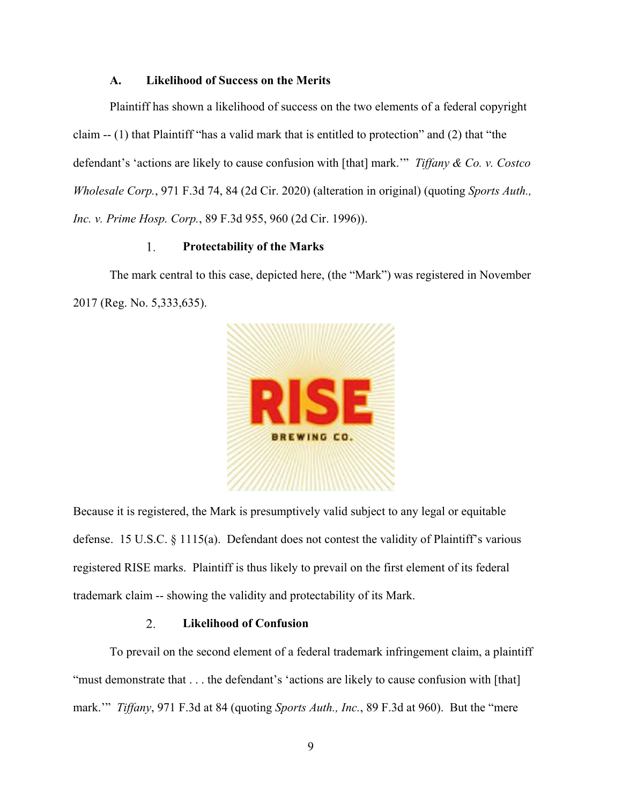## **A. Likelihood of Success on the Merits**

Plaintiff has shown a likelihood of success on the two elements of a federal copyright claim -- (1) that Plaintiff "has a valid mark that is entitled to protection" and (2) that "the defendant's 'actions are likely to cause confusion with [that] mark.'" *Tiffany & Co. v. Costco Wholesale Corp.*, 971 F.3d 74, 84 (2d Cir. 2020) (alteration in original) (quoting *Sports Auth., Inc. v. Prime Hosp. Corp.*, 89 F.3d 955, 960 (2d Cir. 1996)).

### 1. **Protectability of the Marks**

The mark central to this case, depicted here, (the "Mark") was registered in November 2017 (Reg. No. 5,333,635).



Because it is registered, the Mark is presumptively valid subject to any legal or equitable defense. 15 U.S.C. § 1115(a). Defendant does not contest the validity of Plaintiff's various registered RISE marks. Plaintiff is thus likely to prevail on the first element of its federal trademark claim -- showing the validity and protectability of its Mark.

#### 2. **Likelihood of Confusion**

To prevail on the second element of a federal trademark infringement claim, a plaintiff "must demonstrate that . . . the defendant's 'actions are likely to cause confusion with [that] mark.'" *Tiffany*, 971 F.3d at 84 (quoting *Sports Auth., Inc.*, 89 F.3d at 960). But the "mere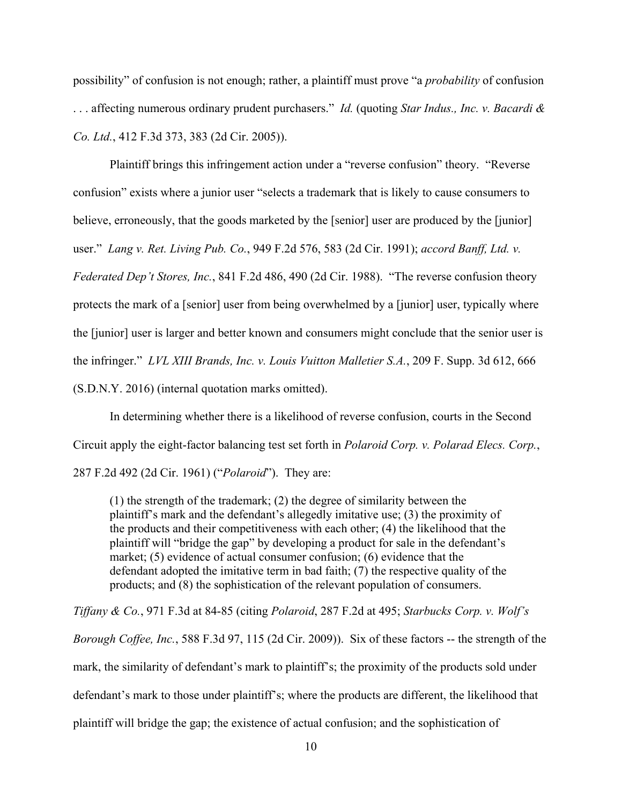possibility" of confusion is not enough; rather, a plaintiff must prove "a *probability* of confusion . . . affecting numerous ordinary prudent purchasers." *Id.* (quoting *Star Indus., Inc. v. Bacardi & Co. Ltd.*, 412 F.3d 373, 383 (2d Cir. 2005)).

Plaintiff brings this infringement action under a "reverse confusion" theory. "Reverse confusion" exists where a junior user "selects a trademark that is likely to cause consumers to believe, erroneously, that the goods marketed by the [senior] user are produced by the [junior] user." *Lang v. Ret. Living Pub. Co.*, 949 F.2d 576, 583 (2d Cir. 1991); *accord Banff, Ltd. v. Federated Dep't Stores, Inc.*, 841 F.2d 486, 490 (2d Cir. 1988). "The reverse confusion theory protects the mark of a [senior] user from being overwhelmed by a [junior] user, typically where the [junior] user is larger and better known and consumers might conclude that the senior user is the infringer." *LVL XIII Brands, Inc. v. Louis Vuitton Malletier S.A.*, 209 F. Supp. 3d 612, 666 (S.D.N.Y. 2016) (internal quotation marks omitted).

In determining whether there is a likelihood of reverse confusion, courts in the Second Circuit apply the eight-factor balancing test set forth in *Polaroid Corp. v. Polarad Elecs. Corp.*, 287 F.2d 492 (2d Cir. 1961) ("*Polaroid*"). They are:

(1) the strength of the trademark; (2) the degree of similarity between the plaintiff's mark and the defendant's allegedly imitative use; (3) the proximity of the products and their competitiveness with each other; (4) the likelihood that the plaintiff will "bridge the gap" by developing a product for sale in the defendant's market; (5) evidence of actual consumer confusion; (6) evidence that the defendant adopted the imitative term in bad faith; (7) the respective quality of the products; and (8) the sophistication of the relevant population of consumers.

*Tiffany & Co.*, 971 F.3d at 84-85 (citing *Polaroid*, 287 F.2d at 495; *Starbucks Corp. v. Wolf's Borough Coffee, Inc.*, 588 F.3d 97, 115 (2d Cir. 2009)). Six of these factors -- the strength of the mark, the similarity of defendant's mark to plaintiff's; the proximity of the products sold under defendant's mark to those under plaintiff's; where the products are different, the likelihood that plaintiff will bridge the gap; the existence of actual confusion; and the sophistication of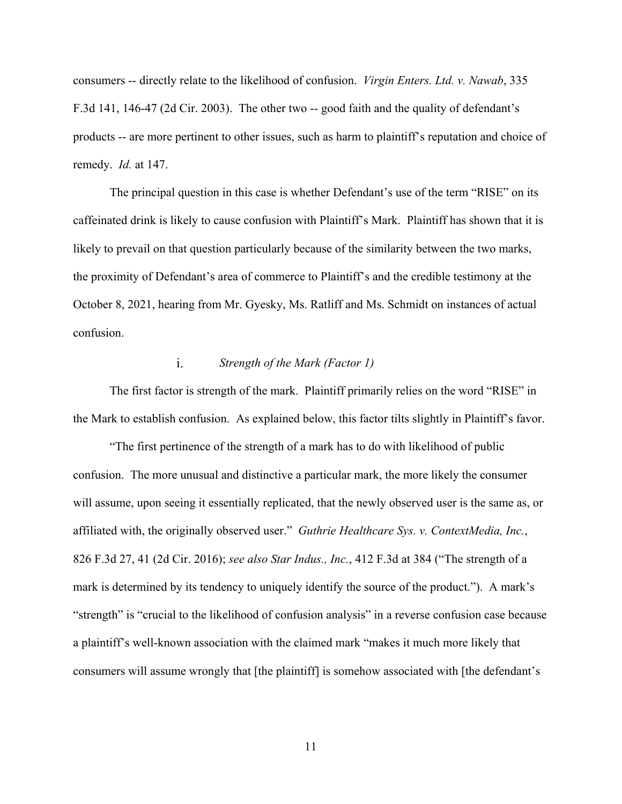consumers -- directly relate to the likelihood of confusion. *Virgin Enters. Ltd. v. Nawab*, 335 F.3d 141, 146-47 (2d Cir. 2003). The other two -- good faith and the quality of defendant's products -- are more pertinent to other issues, such as harm to plaintiff's reputation and choice of remedy. *Id.* at 147.

The principal question in this case is whether Defendant's use of the term "RISE" on its caffeinated drink is likely to cause confusion with Plaintiff's Mark. Plaintiff has shown that it is likely to prevail on that question particularly because of the similarity between the two marks, the proximity of Defendant's area of commerce to Plaintiff's and the credible testimony at the October 8, 2021, hearing from Mr. Gyesky, Ms. Ratliff and Ms. Schmidt on instances of actual confusion.

### $i$ . *Strength of the Mark (Factor 1)*

The first factor is strength of the mark. Plaintiff primarily relies on the word "RISE" in the Mark to establish confusion. As explained below, this factor tilts slightly in Plaintiff's favor.

"The first pertinence of the strength of a mark has to do with likelihood of public confusion. The more unusual and distinctive a particular mark, the more likely the consumer will assume, upon seeing it essentially replicated, that the newly observed user is the same as, or affiliated with, the originally observed user." *Guthrie Healthcare Sys. v. ContextMedia, Inc.*, 826 F.3d 27, 41 (2d Cir. 2016); *see also Star Indus., Inc.*, 412 F.3d at 384 ("The strength of a mark is determined by its tendency to uniquely identify the source of the product."). A mark's "strength" is "crucial to the likelihood of confusion analysis" in a reverse confusion case because a plaintiff's well-known association with the claimed mark "makes it much more likely that consumers will assume wrongly that [the plaintiff] is somehow associated with [the defendant's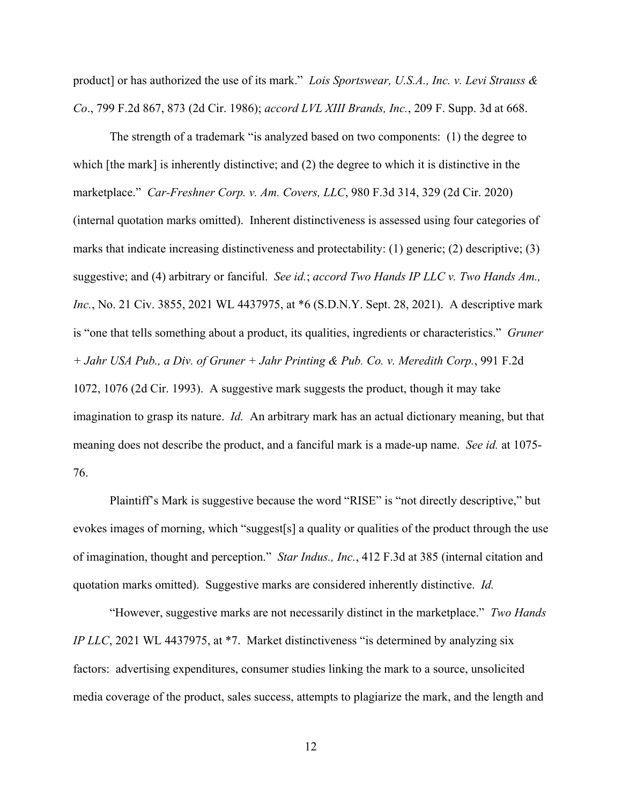product] or has authorized the use of its mark." *Lois Sportswear, U.S.A., Inc. v. Levi Strauss & Co*., 799 F.2d 867, 873 (2d Cir. 1986); *accord LVL XIII Brands, Inc.*, 209 F. Supp. 3d at 668.

The strength of a trademark "is analyzed based on two components: (1) the degree to which [the mark] is inherently distinctive; and (2) the degree to which it is distinctive in the marketplace." *Car-Freshner Corp. v. Am. Covers, LLC*, 980 F.3d 314, 329 (2d Cir. 2020) (internal quotation marks omitted). Inherent distinctiveness is assessed using four categories of marks that indicate increasing distinctiveness and protectability: (1) generic; (2) descriptive; (3) suggestive; and (4) arbitrary or fanciful. *See id.*; *accord Two Hands IP LLC v. Two Hands Am., Inc.*, No. 21 Civ. 3855, 2021 WL 4437975, at \*6 (S.D.N.Y. Sept. 28, 2021). A descriptive mark is "one that tells something about a product, its qualities, ingredients or characteristics." *Gruner + Jahr USA Pub., a Div. of Gruner + Jahr Printing & Pub. Co. v. Meredith Corp.*, 991 F.2d 1072, 1076 (2d Cir. 1993). A suggestive mark suggests the product, though it may take imagination to grasp its nature. *Id.* An arbitrary mark has an actual dictionary meaning, but that meaning does not describe the product, and a fanciful mark is a made-up name. *See id.* at 1075- 76.

Plaintiff's Mark is suggestive because the word "RISE" is "not directly descriptive," but evokes images of morning, which "suggest[s] a quality or qualities of the product through the use of imagination, thought and perception." *Star Indus., Inc.*, 412 F.3d at 385 (internal citation and quotation marks omitted). Suggestive marks are considered inherently distinctive. *Id.*

"However, suggestive marks are not necessarily distinct in the marketplace." *Two Hands IP LLC*, 2021 WL 4437975, at \*7. Market distinctiveness "is determined by analyzing six factors: advertising expenditures, consumer studies linking the mark to a source, unsolicited media coverage of the product, sales success, attempts to plagiarize the mark, and the length and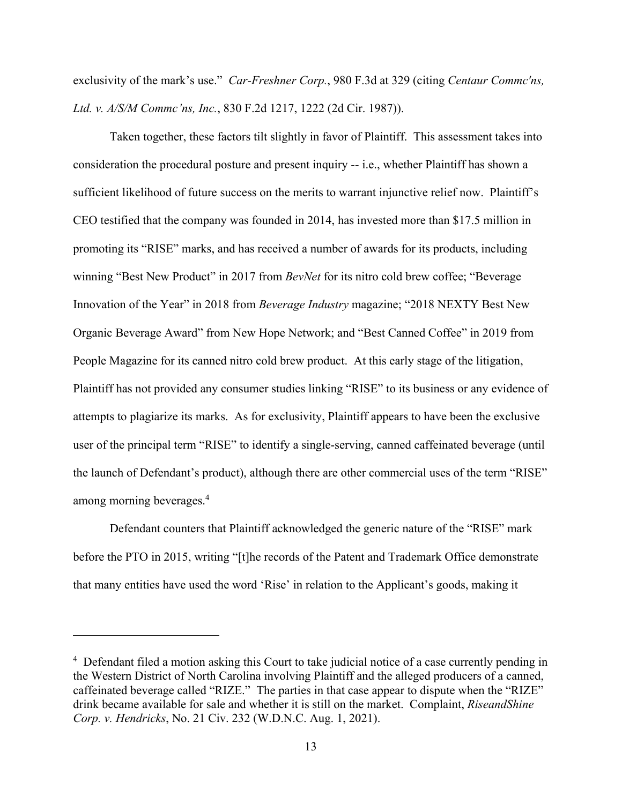exclusivity of the mark's use." *Car-Freshner Corp.*, 980 F.3d at 329 (citing *Centaur Commc'ns, Ltd. v. A/S/M Commc'ns, Inc.*, 830 F.2d 1217, 1222 (2d Cir. 1987)).

Taken together, these factors tilt slightly in favor of Plaintiff. This assessment takes into consideration the procedural posture and present inquiry -- i.e., whether Plaintiff has shown a sufficient likelihood of future success on the merits to warrant injunctive relief now. Plaintiff's CEO testified that the company was founded in 2014, has invested more than \$17.5 million in promoting its "RISE" marks, and has received a number of awards for its products, including winning "Best New Product" in 2017 from *BevNet* for its nitro cold brew coffee; "Beverage Innovation of the Year" in 2018 from *Beverage Industry* magazine; "2018 NEXTY Best New Organic Beverage Award" from New Hope Network; and "Best Canned Coffee" in 2019 from People Magazine for its canned nitro cold brew product. At this early stage of the litigation, Plaintiff has not provided any consumer studies linking "RISE" to its business or any evidence of attempts to plagiarize its marks. As for exclusivity, Plaintiff appears to have been the exclusive user of the principal term "RISE" to identify a single-serving, canned caffeinated beverage (until the launch of Defendant's product), although there are other commercial uses of the term "RISE" among morning beverages.<sup>4</sup>

Defendant counters that Plaintiff acknowledged the generic nature of the "RISE" mark before the PTO in 2015, writing "[t]he records of the Patent and Trademark Office demonstrate that many entities have used the word 'Rise' in relation to the Applicant's goods, making it

<sup>&</sup>lt;sup>4</sup> Defendant filed a motion asking this Court to take judicial notice of a case currently pending in the Western District of North Carolina involving Plaintiff and the alleged producers of a canned, caffeinated beverage called "RIZE." The parties in that case appear to dispute when the "RIZE" drink became available for sale and whether it is still on the market. Complaint, *RiseandShine Corp. v. Hendricks*, No. 21 Civ. 232 (W.D.N.C. Aug. 1, 2021).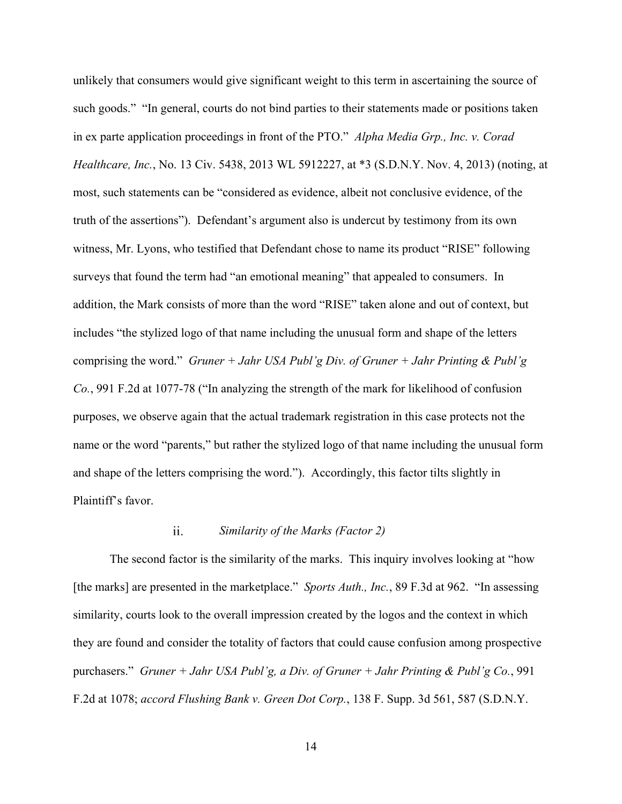unlikely that consumers would give significant weight to this term in ascertaining the source of such goods." "In general, courts do not bind parties to their statements made or positions taken in ex parte application proceedings in front of the PTO." *Alpha Media Grp., Inc. v. Corad Healthcare, Inc.*, No. 13 Civ. 5438, 2013 WL 5912227, at \*3 (S.D.N.Y. Nov. 4, 2013) (noting, at most, such statements can be "considered as evidence, albeit not conclusive evidence, of the truth of the assertions"). Defendant's argument also is undercut by testimony from its own witness, Mr. Lyons, who testified that Defendant chose to name its product "RISE" following surveys that found the term had "an emotional meaning" that appealed to consumers. In addition, the Mark consists of more than the word "RISE" taken alone and out of context, but includes "the stylized logo of that name including the unusual form and shape of the letters comprising the word." *Gruner + Jahr USA Publ'g Div. of Gruner + Jahr Printing & Publ'g Co.*, 991 F.2d at 1077-78 ("In analyzing the strength of the mark for likelihood of confusion purposes, we observe again that the actual trademark registration in this case protects not the name or the word "parents," but rather the stylized logo of that name including the unusual form and shape of the letters comprising the word."). Accordingly, this factor tilts slightly in Plaintiff's favor.

#### ii. *Similarity of the Marks (Factor 2)*

The second factor is the similarity of the marks. This inquiry involves looking at "how [the marks] are presented in the marketplace." *Sports Auth., Inc.*, 89 F.3d at 962. "In assessing similarity, courts look to the overall impression created by the logos and the context in which they are found and consider the totality of factors that could cause confusion among prospective purchasers." *Gruner + Jahr USA Publ'g, a Div. of Gruner + Jahr Printing & Publ'g Co.*, 991 F.2d at 1078; *accord Flushing Bank v. Green Dot Corp.*, 138 F. Supp. 3d 561, 587 (S.D.N.Y.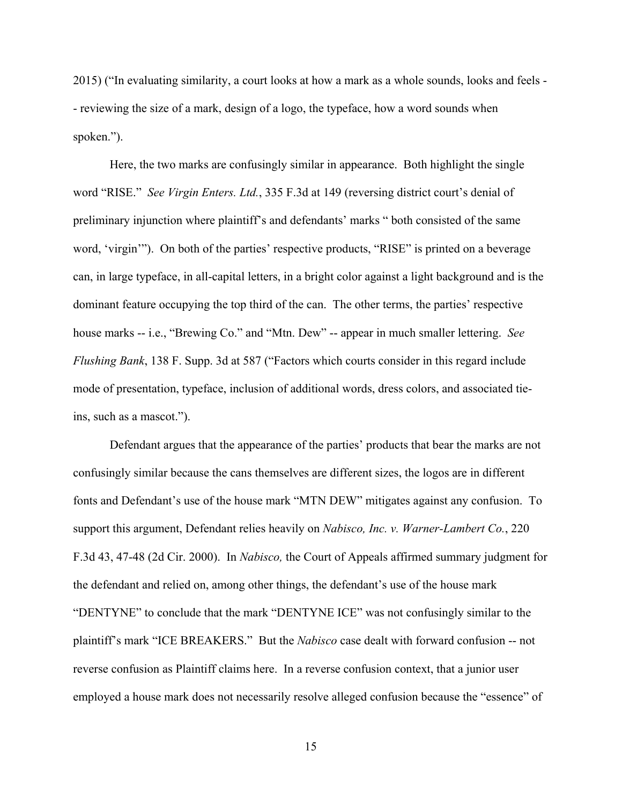2015) ("In evaluating similarity, a court looks at how a mark as a whole sounds, looks and feels - - reviewing the size of a mark, design of a logo, the typeface, how a word sounds when spoken.").

Here, the two marks are confusingly similar in appearance. Both highlight the single word "RISE." *See Virgin Enters. Ltd.*, 335 F.3d at 149 (reversing district court's denial of preliminary injunction where plaintiff's and defendants' marks " both consisted of the same word, 'virgin'"). On both of the parties' respective products, "RISE" is printed on a beverage can, in large typeface, in all-capital letters, in a bright color against a light background and is the dominant feature occupying the top third of the can. The other terms, the parties' respective house marks -- i.e., "Brewing Co." and "Mtn. Dew" -- appear in much smaller lettering. *See Flushing Bank*, 138 F. Supp. 3d at 587 ("Factors which courts consider in this regard include mode of presentation, typeface, inclusion of additional words, dress colors, and associated tieins, such as a mascot.").

Defendant argues that the appearance of the parties' products that bear the marks are not confusingly similar because the cans themselves are different sizes, the logos are in different fonts and Defendant's use of the house mark "MTN DEW" mitigates against any confusion. To support this argument, Defendant relies heavily on *Nabisco, Inc. v. Warner-Lambert Co.*, 220 F.3d 43, 47-48 (2d Cir. 2000). In *Nabisco,* the Court of Appeals affirmed summary judgment for the defendant and relied on, among other things, the defendant's use of the house mark "DENTYNE" to conclude that the mark "DENTYNE ICE" was not confusingly similar to the plaintiff's mark "ICE BREAKERS." But the *Nabisco* case dealt with forward confusion -- not reverse confusion as Plaintiff claims here. In a reverse confusion context, that a junior user employed a house mark does not necessarily resolve alleged confusion because the "essence" of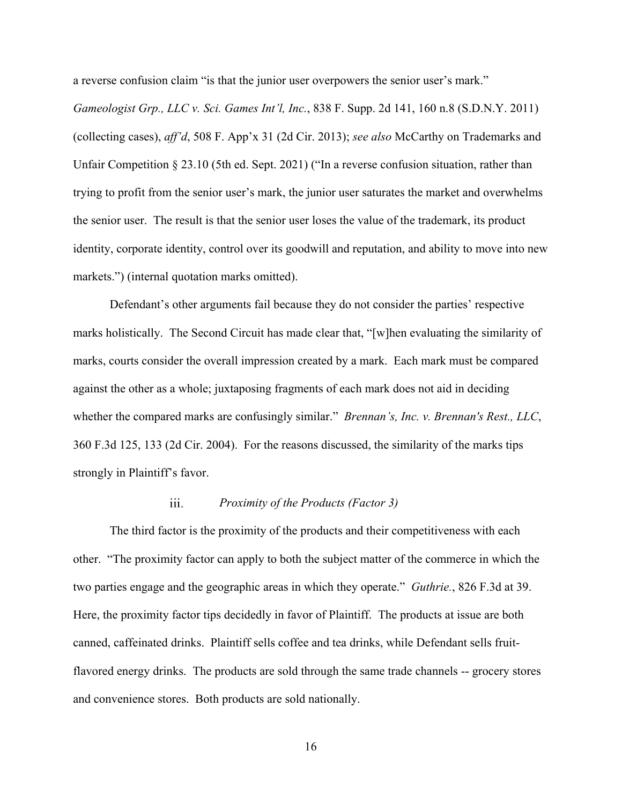a reverse confusion claim "is that the junior user overpowers the senior user's mark."

*Gameologist Grp., LLC v. Sci. Games Int'l, Inc.*, 838 F. Supp. 2d 141, 160 n.8 (S.D.N.Y. 2011) (collecting cases), *aff'd*, 508 F. App'x 31 (2d Cir. 2013); *see also* McCarthy on Trademarks and Unfair Competition § 23.10 (5th ed. Sept. 2021) ("In a reverse confusion situation, rather than trying to profit from the senior user's mark, the junior user saturates the market and overwhelms the senior user. The result is that the senior user loses the value of the trademark, its product identity, corporate identity, control over its goodwill and reputation, and ability to move into new markets.") (internal quotation marks omitted).

Defendant's other arguments fail because they do not consider the parties' respective marks holistically. The Second Circuit has made clear that, "[w]hen evaluating the similarity of marks, courts consider the overall impression created by a mark. Each mark must be compared against the other as a whole; juxtaposing fragments of each mark does not aid in deciding whether the compared marks are confusingly similar." *Brennan's, Inc. v. Brennan's Rest., LLC*, 360 F.3d 125, 133 (2d Cir. 2004). For the reasons discussed, the similarity of the marks tips strongly in Plaintiff's favor.

### iii. *Proximity of the Products (Factor 3)*

The third factor is the proximity of the products and their competitiveness with each other. "The proximity factor can apply to both the subject matter of the commerce in which the two parties engage and the geographic areas in which they operate." *Guthrie.*, 826 F.3d at 39. Here, the proximity factor tips decidedly in favor of Plaintiff. The products at issue are both canned, caffeinated drinks. Plaintiff sells coffee and tea drinks, while Defendant sells fruitflavored energy drinks. The products are sold through the same trade channels -- grocery stores and convenience stores. Both products are sold nationally.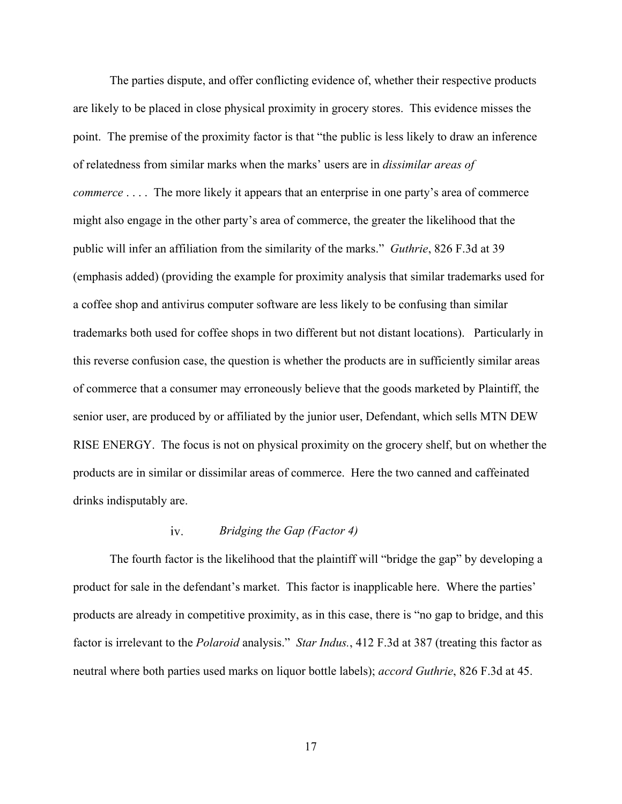The parties dispute, and offer conflicting evidence of, whether their respective products are likely to be placed in close physical proximity in grocery stores. This evidence misses the point. The premise of the proximity factor is that "the public is less likely to draw an inference of relatedness from similar marks when the marks' users are in *dissimilar areas of commerce* . . . . The more likely it appears that an enterprise in one party's area of commerce might also engage in the other party's area of commerce, the greater the likelihood that the public will infer an affiliation from the similarity of the marks." *Guthrie*, 826 F.3d at 39 (emphasis added) (providing the example for proximity analysis that similar trademarks used for a coffee shop and antivirus computer software are less likely to be confusing than similar trademarks both used for coffee shops in two different but not distant locations). Particularly in this reverse confusion case, the question is whether the products are in sufficiently similar areas of commerce that a consumer may erroneously believe that the goods marketed by Plaintiff, the senior user, are produced by or affiliated by the junior user, Defendant, which sells MTN DEW RISE ENERGY. The focus is not on physical proximity on the grocery shelf, but on whether the products are in similar or dissimilar areas of commerce. Here the two canned and caffeinated drinks indisputably are.

#### *Bridging the Gap (Factor 4)*  iv.

The fourth factor is the likelihood that the plaintiff will "bridge the gap" by developing a product for sale in the defendant's market. This factor is inapplicable here. Where the parties' products are already in competitive proximity, as in this case, there is "no gap to bridge, and this factor is irrelevant to the *Polaroid* analysis." *Star Indus.*, 412 F.3d at 387 (treating this factor as neutral where both parties used marks on liquor bottle labels); *accord Guthrie*, 826 F.3d at 45.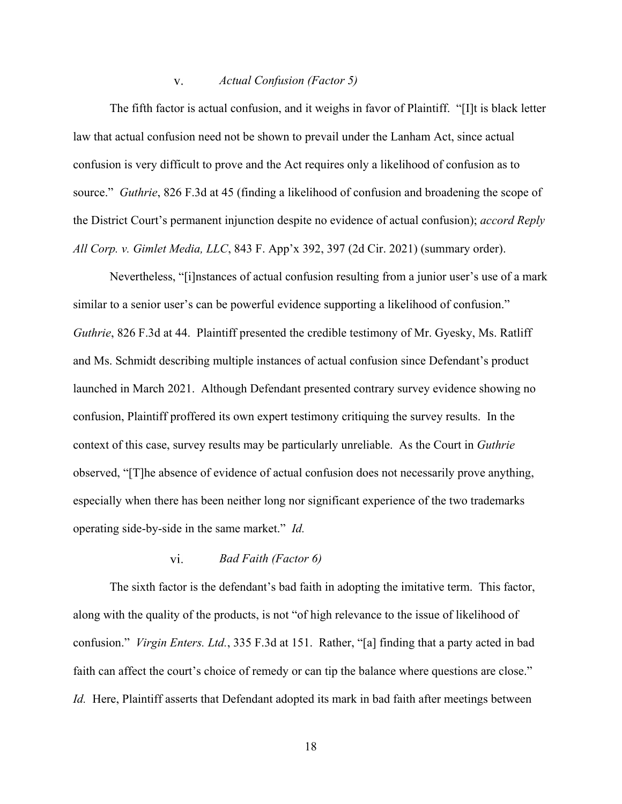#### *Actual Confusion (Factor 5)*   $V_{\star}$

The fifth factor is actual confusion, and it weighs in favor of Plaintiff. "[I]t is black letter law that actual confusion need not be shown to prevail under the Lanham Act, since actual confusion is very difficult to prove and the Act requires only a likelihood of confusion as to source." *Guthrie*, 826 F.3d at 45 (finding a likelihood of confusion and broadening the scope of the District Court's permanent injunction despite no evidence of actual confusion); *accord Reply All Corp. v. Gimlet Media, LLC*, 843 F. App'x 392, 397 (2d Cir. 2021) (summary order).

Nevertheless, "[i]nstances of actual confusion resulting from a junior user's use of a mark similar to a senior user's can be powerful evidence supporting a likelihood of confusion." *Guthrie*, 826 F.3d at 44. Plaintiff presented the credible testimony of Mr. Gyesky, Ms. Ratliff and Ms. Schmidt describing multiple instances of actual confusion since Defendant's product launched in March 2021. Although Defendant presented contrary survey evidence showing no confusion, Plaintiff proffered its own expert testimony critiquing the survey results. In the context of this case, survey results may be particularly unreliable. As the Court in *Guthrie* observed, "[T]he absence of evidence of actual confusion does not necessarily prove anything, especially when there has been neither long nor significant experience of the two trademarks operating side-by-side in the same market." *Id.*

### vi. *Bad Faith (Factor 6)*

The sixth factor is the defendant's bad faith in adopting the imitative term. This factor, along with the quality of the products, is not "of high relevance to the issue of likelihood of confusion." *Virgin Enters. Ltd.*, 335 F.3d at 151. Rather, "[a] finding that a party acted in bad faith can affect the court's choice of remedy or can tip the balance where questions are close." *Id.* Here, Plaintiff asserts that Defendant adopted its mark in bad faith after meetings between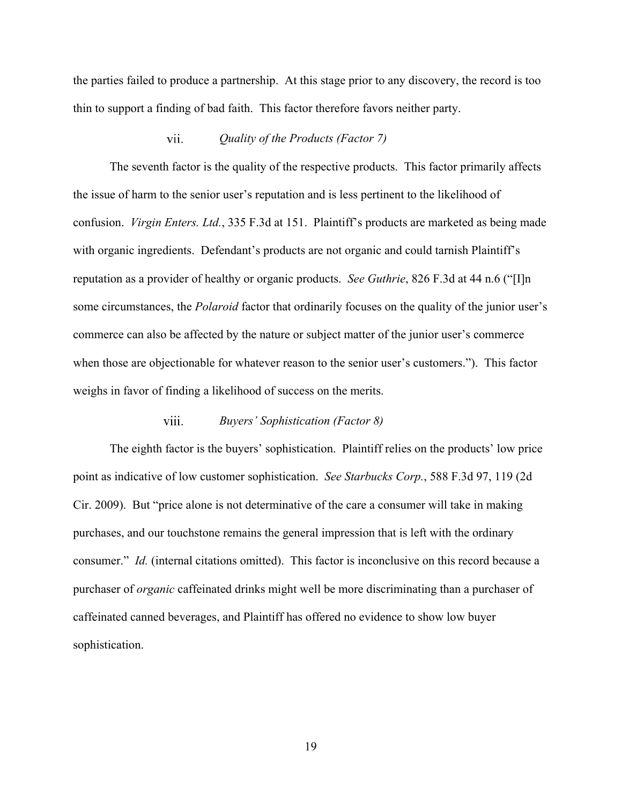the parties failed to produce a partnership. At this stage prior to any discovery, the record is too thin to support a finding of bad faith. This factor therefore favors neither party.

#### vii. *Quality of the Products (Factor 7)*

The seventh factor is the quality of the respective products. This factor primarily affects the issue of harm to the senior user's reputation and is less pertinent to the likelihood of confusion. *Virgin Enters. Ltd.*, 335 F.3d at 151. Plaintiff's products are marketed as being made with organic ingredients. Defendant's products are not organic and could tarnish Plaintiff's reputation as a provider of healthy or organic products. *See Guthrie*, 826 F.3d at 44 n.6 ("[I]n some circumstances, the *Polaroid* factor that ordinarily focuses on the quality of the junior user's commerce can also be affected by the nature or subject matter of the junior user's commerce when those are objectionable for whatever reason to the senior user's customers."). This factor weighs in favor of finding a likelihood of success on the merits.

#### viii. *Buyers' Sophistication (Factor 8)*

The eighth factor is the buyers' sophistication. Plaintiff relies on the products' low price point as indicative of low customer sophistication. *See Starbucks Corp.*, 588 F.3d 97, 119 (2d Cir. 2009). But "price alone is not determinative of the care a consumer will take in making purchases, and our touchstone remains the general impression that is left with the ordinary consumer." *Id.* (internal citations omitted). This factor is inconclusive on this record because a purchaser of *organic* caffeinated drinks might well be more discriminating than a purchaser of caffeinated canned beverages, and Plaintiff has offered no evidence to show low buyer sophistication.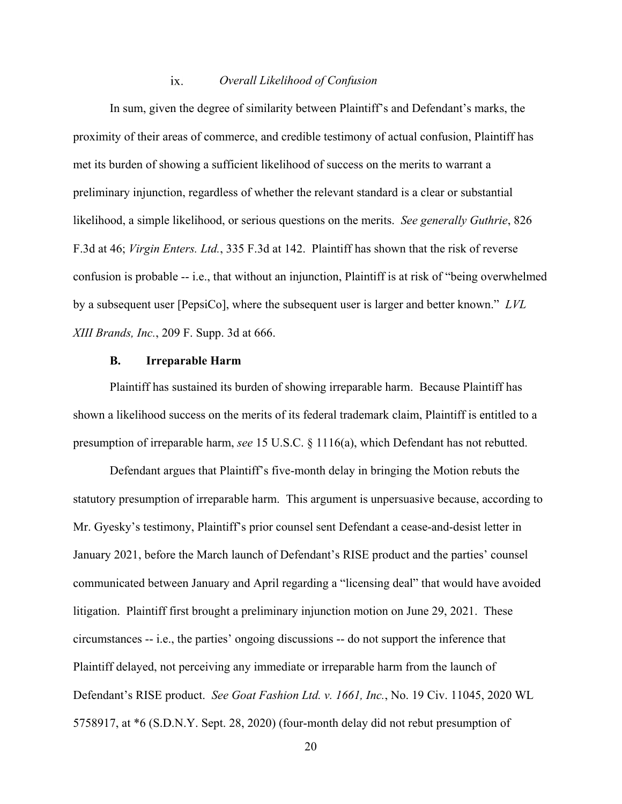#### ix. *Overall Likelihood of Confusion*

In sum, given the degree of similarity between Plaintiff's and Defendant's marks, the proximity of their areas of commerce, and credible testimony of actual confusion, Plaintiff has met its burden of showing a sufficient likelihood of success on the merits to warrant a preliminary injunction, regardless of whether the relevant standard is a clear or substantial likelihood, a simple likelihood, or serious questions on the merits. *See generally Guthrie*, 826 F.3d at 46; *Virgin Enters. Ltd.*, 335 F.3d at 142. Plaintiff has shown that the risk of reverse confusion is probable -- i.e., that without an injunction, Plaintiff is at risk of "being overwhelmed by a subsequent user [PepsiCo], where the subsequent user is larger and better known." *LVL XIII Brands, Inc.*, 209 F. Supp. 3d at 666.

## **B. Irreparable Harm**

Plaintiff has sustained its burden of showing irreparable harm. Because Plaintiff has shown a likelihood success on the merits of its federal trademark claim, Plaintiff is entitled to a presumption of irreparable harm, *see* 15 U.S.C. § 1116(a), which Defendant has not rebutted.

Defendant argues that Plaintiff's five-month delay in bringing the Motion rebuts the statutory presumption of irreparable harm. This argument is unpersuasive because, according to Mr. Gyesky's testimony, Plaintiff's prior counsel sent Defendant a cease-and-desist letter in January 2021, before the March launch of Defendant's RISE product and the parties' counsel communicated between January and April regarding a "licensing deal" that would have avoided litigation. Plaintiff first brought a preliminary injunction motion on June 29, 2021. These circumstances -- i.e., the parties' ongoing discussions -- do not support the inference that Plaintiff delayed, not perceiving any immediate or irreparable harm from the launch of Defendant's RISE product. *See Goat Fashion Ltd. v. 1661, Inc.*, No. 19 Civ. 11045, 2020 WL 5758917, at \*6 (S.D.N.Y. Sept. 28, 2020) (four-month delay did not rebut presumption of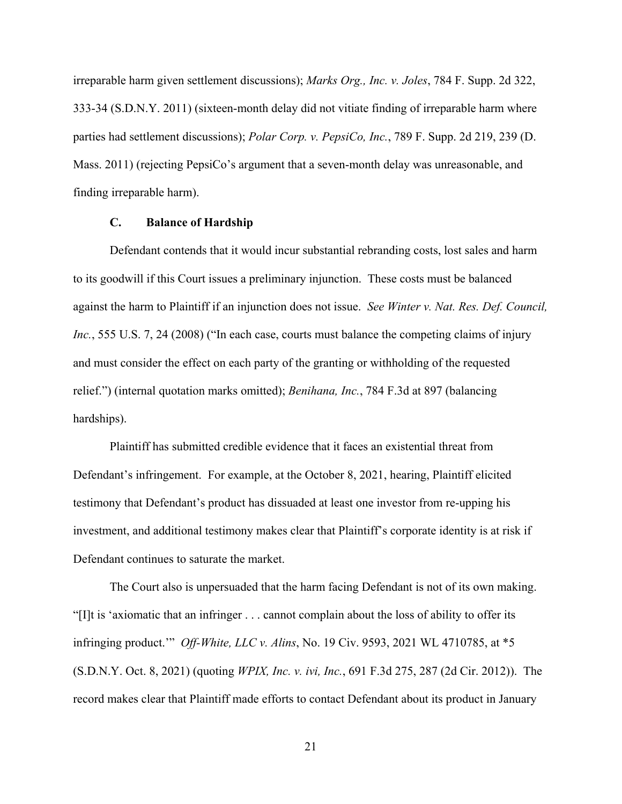irreparable harm given settlement discussions); *Marks Org., Inc. v. Joles*, 784 F. Supp. 2d 322, 333-34 (S.D.N.Y. 2011) (sixteen-month delay did not vitiate finding of irreparable harm where parties had settlement discussions); *Polar Corp. v. PepsiCo, Inc.*, 789 F. Supp. 2d 219, 239 (D. Mass. 2011) (rejecting PepsiCo's argument that a seven-month delay was unreasonable, and finding irreparable harm).

## **C. Balance of Hardship**

Defendant contends that it would incur substantial rebranding costs, lost sales and harm to its goodwill if this Court issues a preliminary injunction. These costs must be balanced against the harm to Plaintiff if an injunction does not issue. *See Winter v. Nat. Res. Def. Council, Inc.*, 555 U.S. 7, 24 (2008) ("In each case, courts must balance the competing claims of injury and must consider the effect on each party of the granting or withholding of the requested relief.") (internal quotation marks omitted); *Benihana, Inc.*, 784 F.3d at 897 (balancing hardships).

Plaintiff has submitted credible evidence that it faces an existential threat from Defendant's infringement. For example, at the October 8, 2021, hearing, Plaintiff elicited testimony that Defendant's product has dissuaded at least one investor from re-upping his investment, and additional testimony makes clear that Plaintiff's corporate identity is at risk if Defendant continues to saturate the market.

The Court also is unpersuaded that the harm facing Defendant is not of its own making. "[I]t is 'axiomatic that an infringer . . . cannot complain about the loss of ability to offer its infringing product.'" *Off-White, LLC v. Alins*, No. 19 Civ. 9593, 2021 WL 4710785, at \*5 (S.D.N.Y. Oct. 8, 2021) (quoting *WPIX, Inc. v. ivi, Inc.*, 691 F.3d 275, 287 (2d Cir. 2012)). The record makes clear that Plaintiff made efforts to contact Defendant about its product in January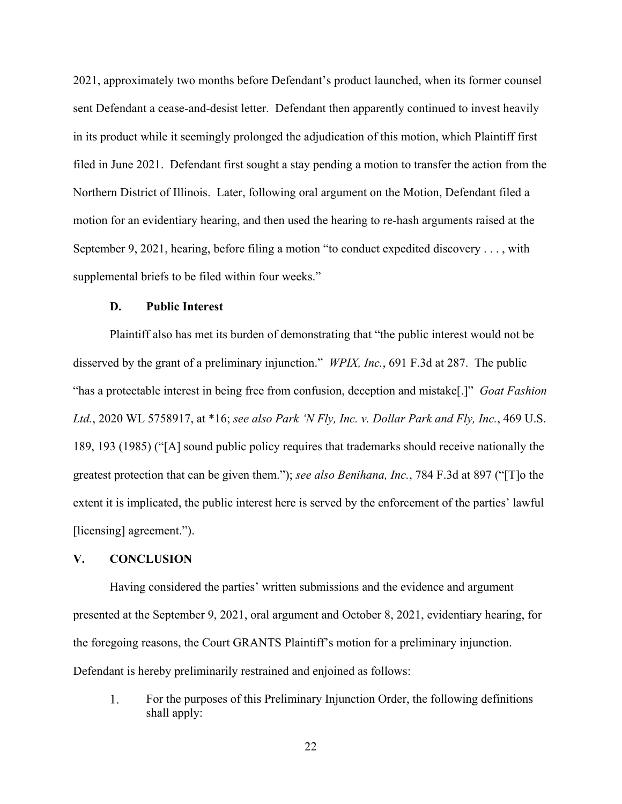2021, approximately two months before Defendant's product launched, when its former counsel sent Defendant a cease-and-desist letter. Defendant then apparently continued to invest heavily in its product while it seemingly prolonged the adjudication of this motion, which Plaintiff first filed in June 2021. Defendant first sought a stay pending a motion to transfer the action from the Northern District of Illinois. Later, following oral argument on the Motion, Defendant filed a motion for an evidentiary hearing, and then used the hearing to re-hash arguments raised at the September 9, 2021, hearing, before filing a motion "to conduct expedited discovery . . . , with supplemental briefs to be filed within four weeks."

## **D. Public Interest**

Plaintiff also has met its burden of demonstrating that "the public interest would not be disserved by the grant of a preliminary injunction." *WPIX, Inc.*, 691 F.3d at 287. The public "has a protectable interest in being free from confusion, deception and mistake[.]" *Goat Fashion Ltd.*, 2020 WL 5758917, at \*16; *see also Park 'N Fly, Inc. v. Dollar Park and Fly, Inc.*, 469 U.S. 189, 193 (1985) ("[A] sound public policy requires that trademarks should receive nationally the greatest protection that can be given them."); *see also Benihana, Inc.*, 784 F.3d at 897 ("[T]o the extent it is implicated, the public interest here is served by the enforcement of the parties' lawful [licensing] agreement.").

# **V. CONCLUSION**

Having considered the parties' written submissions and the evidence and argument presented at the September 9, 2021, oral argument and October 8, 2021, evidentiary hearing, for the foregoing reasons, the Court GRANTS Plaintiff's motion for a preliminary injunction. Defendant is hereby preliminarily restrained and enjoined as follows:

For the purposes of this Preliminary Injunction Order, the following definitions 1. shall apply: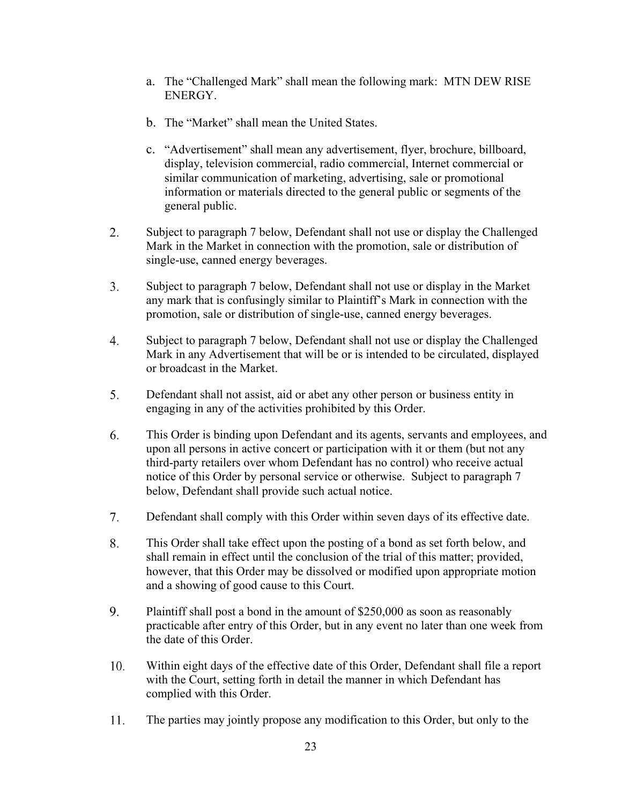- a. The "Challenged Mark" shall mean the following mark: MTN DEW RISE ENERGY.
- b. The "Market" shall mean the United States.
- c. "Advertisement" shall mean any advertisement, flyer, brochure, billboard, display, television commercial, radio commercial, Internet commercial or similar communication of marketing, advertising, sale or promotional information or materials directed to the general public or segments of the general public.
- 2. Subject to paragraph 7 below, Defendant shall not use or display the Challenged Mark in the Market in connection with the promotion, sale or distribution of single-use, canned energy beverages.
- $3<sub>1</sub>$ Subject to paragraph 7 below, Defendant shall not use or display in the Market any mark that is confusingly similar to Plaintiff's Mark in connection with the promotion, sale or distribution of single-use, canned energy beverages.
- $4.$ Subject to paragraph 7 below, Defendant shall not use or display the Challenged Mark in any Advertisement that will be or is intended to be circulated, displayed or broadcast in the Market.
- Defendant shall not assist, aid or abet any other person or business entity in 5. engaging in any of the activities prohibited by this Order.
- 6. This Order is binding upon Defendant and its agents, servants and employees, and upon all persons in active concert or participation with it or them (but not any third-party retailers over whom Defendant has no control) who receive actual notice of this Order by personal service or otherwise. Subject to paragraph 7 below, Defendant shall provide such actual notice.
- Defendant shall comply with this Order within seven days of its effective date.  $7<sub>1</sub>$
- 8. This Order shall take effect upon the posting of a bond as set forth below, and shall remain in effect until the conclusion of the trial of this matter; provided, however, that this Order may be dissolved or modified upon appropriate motion and a showing of good cause to this Court.
- 9. Plaintiff shall post a bond in the amount of \$250,000 as soon as reasonably practicable after entry of this Order, but in any event no later than one week from the date of this Order.
- 10. Within eight days of the effective date of this Order, Defendant shall file a report with the Court, setting forth in detail the manner in which Defendant has complied with this Order.
- 11. The parties may jointly propose any modification to this Order, but only to the